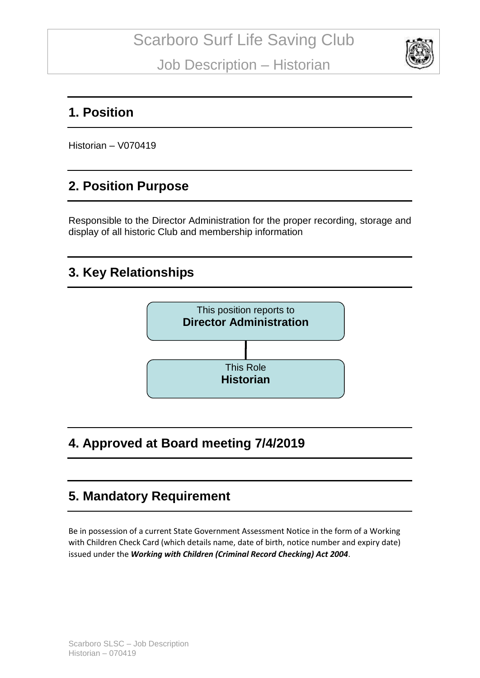

#### **1. Position**

Historian – V070419

## **2. Position Purpose**

Responsible to the Director Administration for the proper recording, storage and display of all historic Club and membership information

## **3. Key Relationships**



# **4. Approved at Board meeting 7/4/2019**

## **5. Mandatory Requirement**

Be in possession of a current State Government Assessment Notice in the form of a Working with Children Check Card (which details name, date of birth, notice number and expiry date) issued under the *Working with Children (Criminal Record Checking) Act 2004*.